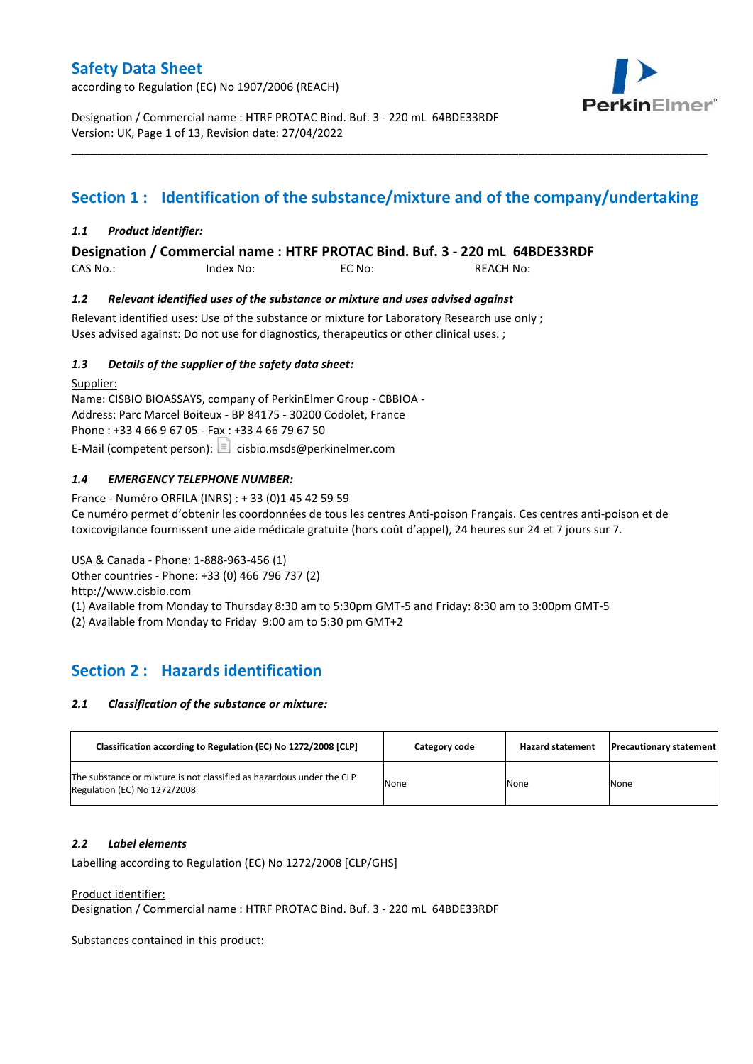according to Regulation (EC) No 1907/2006 (REACH)



Designation / Commercial name : HTRF PROTAC Bind. Buf. 3 - 220 mL 64BDE33RDF Version: UK, Page 1 of 13, Revision date: 27/04/2022

# **Section 1 : Identification of the substance/mixture and of the company/undertaking**

\_\_\_\_\_\_\_\_\_\_\_\_\_\_\_\_\_\_\_\_\_\_\_\_\_\_\_\_\_\_\_\_\_\_\_\_\_\_\_\_\_\_\_\_\_\_\_\_\_\_\_\_\_\_\_\_\_\_\_\_\_\_\_\_\_\_\_\_\_\_\_\_\_\_\_\_\_\_\_\_\_\_\_\_\_\_\_\_\_\_\_\_\_\_\_\_\_\_\_\_\_

### *1.1 Product identifier:*

**Designation / Commercial name : HTRF PROTAC Bind. Buf. 3 - 220 mL 64BDE33RDF** 

CAS No.: Index No: EC No: REACH No:

### *1.2 Relevant identified uses of the substance or mixture and uses advised against*

Relevant identified uses: Use of the substance or mixture for Laboratory Research use only ; Uses advised against: Do not use for diagnostics, therapeutics or other clinical uses. ;

### *1.3 Details of the supplier of the safety data sheet:*

Supplier: Name: CISBIO BIOASSAYS, company of PerkinElmer Group - CBBIOA - Address: Parc Marcel Boiteux - BP 84175 - 30200 Codolet, France Phone : +33 4 66 9 67 05 - Fax : +33 4 66 79 67 50 E-Mail (competent person):  $\Box$  cisbio.msds@perkinelmer.com

### *1.4 EMERGENCY TELEPHONE NUMBER:*

France - Numéro ORFILA (INRS) : + 33 (0)1 45 42 59 59 Ce numéro permet d'obtenir les coordonnées de tous les centres Anti-poison Français. Ces centres anti-poison et de toxicovigilance fournissent une aide médicale gratuite (hors coût d'appel), 24 heures sur 24 et 7 jours sur 7.

USA & Canada - Phone: 1-888-963-456 (1)

Other countries - Phone: +33 (0) 466 796 737 (2)

http://www.cisbio.com

(1) Available from Monday to Thursday 8:30 am to 5:30pm GMT-5 and Friday: 8:30 am to 3:00pm GMT-5

(2) Available from Monday to Friday 9:00 am to 5:30 pm GMT+2

# **Section 2 : Hazards identification**

#### *2.1 Classification of the substance or mixture:*

| Classification according to Regulation (EC) No 1272/2008 [CLP]                                        | Category code | <b>Hazard statement</b> | <b>Precautionary statement</b> |
|-------------------------------------------------------------------------------------------------------|---------------|-------------------------|--------------------------------|
| The substance or mixture is not classified as hazardous under the CLP<br>Regulation (EC) No 1272/2008 | None          | None                    | None                           |

#### *2.2 Label elements*

Labelling according to Regulation (EC) No 1272/2008 [CLP/GHS]

#### Product identifier:

Designation / Commercial name : HTRF PROTAC Bind. Buf. 3 - 220 mL 64BDE33RDF

Substances contained in this product: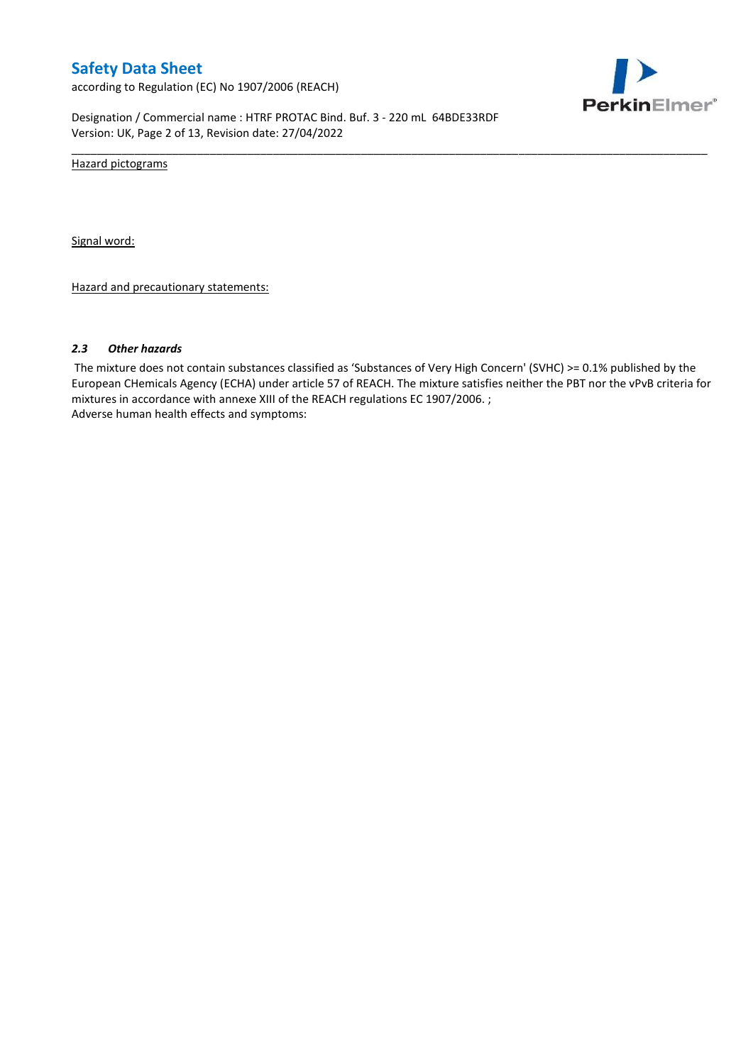according to Regulation (EC) No 1907/2006 (REACH)



Designation / Commercial name : HTRF PROTAC Bind. Buf. 3 - 220 mL 64BDE33RDF Version: UK, Page 2 of 13, Revision date: 27/04/2022

Hazard pictograms

Signal word:

Hazard and precautionary statements:

#### *2.3 Other hazards*

The mixture does not contain substances classified as 'Substances of Very High Concern' (SVHC) >= 0.1% published by the European CHemicals Agency (ECHA) under article 57 of REACH. The mixture satisfies neither the PBT nor the vPvB criteria for mixtures in accordance with annexe XIII of the REACH regulations EC 1907/2006. ; Adverse human health effects and symptoms:

\_\_\_\_\_\_\_\_\_\_\_\_\_\_\_\_\_\_\_\_\_\_\_\_\_\_\_\_\_\_\_\_\_\_\_\_\_\_\_\_\_\_\_\_\_\_\_\_\_\_\_\_\_\_\_\_\_\_\_\_\_\_\_\_\_\_\_\_\_\_\_\_\_\_\_\_\_\_\_\_\_\_\_\_\_\_\_\_\_\_\_\_\_\_\_\_\_\_\_\_\_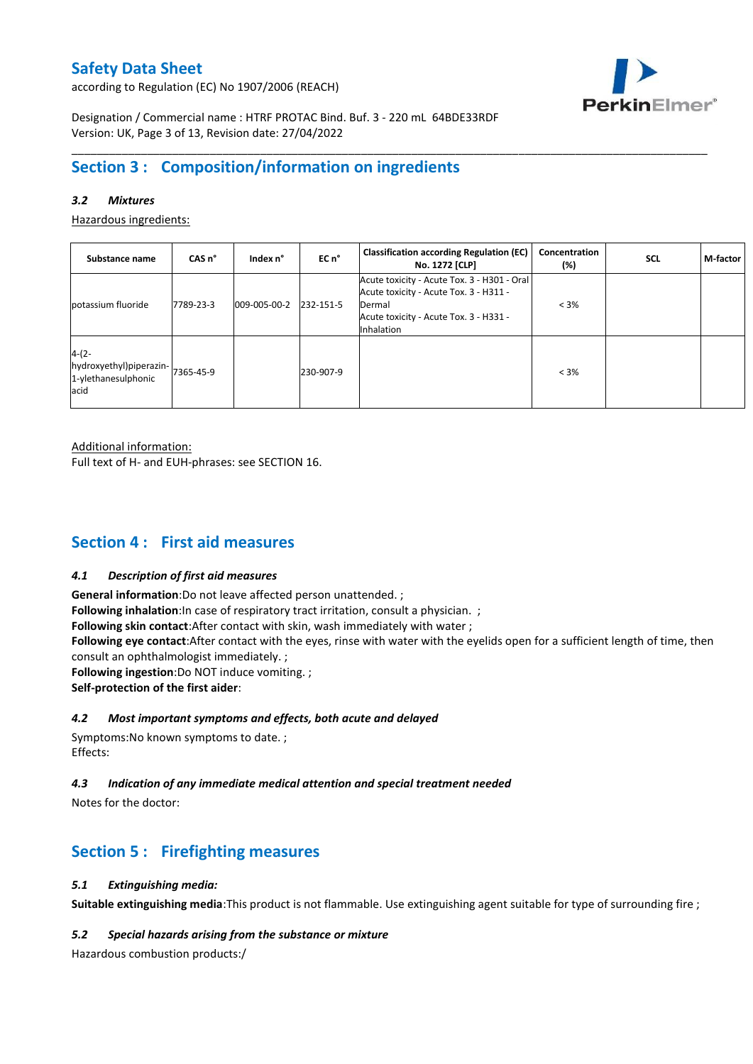according to Regulation (EC) No 1907/2006 (REACH)



Designation / Commercial name : HTRF PROTAC Bind. Buf. 3 - 220 mL 64BDE33RDF Version: UK, Page 3 of 13, Revision date: 27/04/2022

# **Section 3 : Composition/information on ingredients**

### *3.2 Mixtures*

Hazardous ingredients:

| Substance name                                                               | CAS <sub>n</sub> ° | Index n°     | EC n°     | <b>Classification according Regulation (EC)</b><br>No. 1272 [CLP]                                                                                       | Concentration<br>$(\%)$ | <b>SCL</b> | M-factor |
|------------------------------------------------------------------------------|--------------------|--------------|-----------|---------------------------------------------------------------------------------------------------------------------------------------------------------|-------------------------|------------|----------|
| potassium fluoride                                                           | 7789-23-3          | 009-005-00-2 | 232-151-5 | Acute toxicity - Acute Tox. 3 - H301 - Oral<br>Acute toxicity - Acute Tox. 3 - H311 -<br>Dermal<br>Acute toxicity - Acute Tox. 3 - H331 -<br>Inhalation | $< 3\%$                 |            |          |
| $4-(2-$<br>hydroxyethyl)piperazin- 7365-45-9<br>1-ylethanesulphonic<br>lacid |                    |              | 230-907-9 |                                                                                                                                                         | $< 3\%$                 |            |          |

\_\_\_\_\_\_\_\_\_\_\_\_\_\_\_\_\_\_\_\_\_\_\_\_\_\_\_\_\_\_\_\_\_\_\_\_\_\_\_\_\_\_\_\_\_\_\_\_\_\_\_\_\_\_\_\_\_\_\_\_\_\_\_\_\_\_\_\_\_\_\_\_\_\_\_\_\_\_\_\_\_\_\_\_\_\_\_\_\_\_\_\_\_\_\_\_\_\_\_\_\_

Additional information:

Full text of H- and EUH-phrases: see SECTION 16.

# **Section 4 : First aid measures**

#### *4.1 Description of first aid measures*

**General information**:Do not leave affected person unattended. ;

**Following inhalation**:In case of respiratory tract irritation, consult a physician. ;

**Following skin contact**:After contact with skin, wash immediately with water ;

**Following eye contact**:After contact with the eyes, rinse with water with the eyelids open for a sufficient length of time, then consult an ophthalmologist immediately. ;

**Following ingestion**:Do NOT induce vomiting. ;

**Self-protection of the first aider**:

#### *4.2 Most important symptoms and effects, both acute and delayed*

Symptoms:No known symptoms to date. ; Effects:

### *4.3 Indication of any immediate medical attention and special treatment needed*

Notes for the doctor:

# **Section 5 : Firefighting measures**

#### *5.1 Extinguishing media:*

**Suitable extinguishing media**:This product is not flammable. Use extinguishing agent suitable for type of surrounding fire ;

#### *5.2 Special hazards arising from the substance or mixture*

Hazardous combustion products:/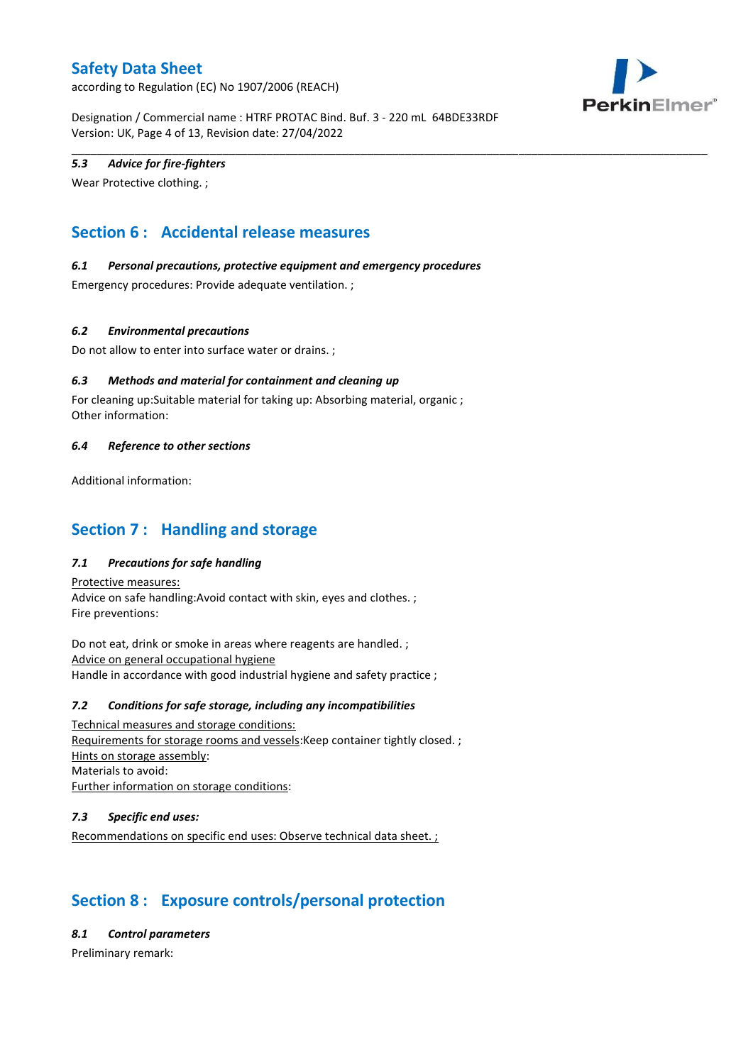according to Regulation (EC) No 1907/2006 (REACH)



Designation / Commercial name : HTRF PROTAC Bind. Buf. 3 - 220 mL 64BDE33RDF Version: UK, Page 4 of 13, Revision date: 27/04/2022

\_\_\_\_\_\_\_\_\_\_\_\_\_\_\_\_\_\_\_\_\_\_\_\_\_\_\_\_\_\_\_\_\_\_\_\_\_\_\_\_\_\_\_\_\_\_\_\_\_\_\_\_\_\_\_\_\_\_\_\_\_\_\_\_\_\_\_\_\_\_\_\_\_\_\_\_\_\_\_\_\_\_\_\_\_\_\_\_\_\_\_\_\_\_\_\_\_\_\_\_\_

### *5.3 Advice for fire-fighters*

Wear Protective clothing. ;

# **Section 6 : Accidental release measures**

### *6.1 Personal precautions, protective equipment and emergency procedures*

Emergency procedures: Provide adequate ventilation. ;

### *6.2 Environmental precautions*

Do not allow to enter into surface water or drains. ;

### *6.3 Methods and material for containment and cleaning up*

For cleaning up:Suitable material for taking up: Absorbing material, organic ; Other information:

#### *6.4 Reference to other sections*

Additional information:

### **Section 7 : Handling and storage**

### *7.1 Precautions for safe handling*

Protective measures: Advice on safe handling:Avoid contact with skin, eyes and clothes. ; Fire preventions:

Do not eat, drink or smoke in areas where reagents are handled. ; Advice on general occupational hygiene Handle in accordance with good industrial hygiene and safety practice ;

#### *7.2 Conditions for safe storage, including any incompatibilities*

Technical measures and storage conditions: Requirements for storage rooms and vessels:Keep container tightly closed. ; Hints on storage assembly: Materials to avoid: Further information on storage conditions:

#### *7.3 Specific end uses:*

Recommendations on specific end uses: Observe technical data sheet. ;

# **Section 8 : Exposure controls/personal protection**

*8.1 Control parameters*

Preliminary remark: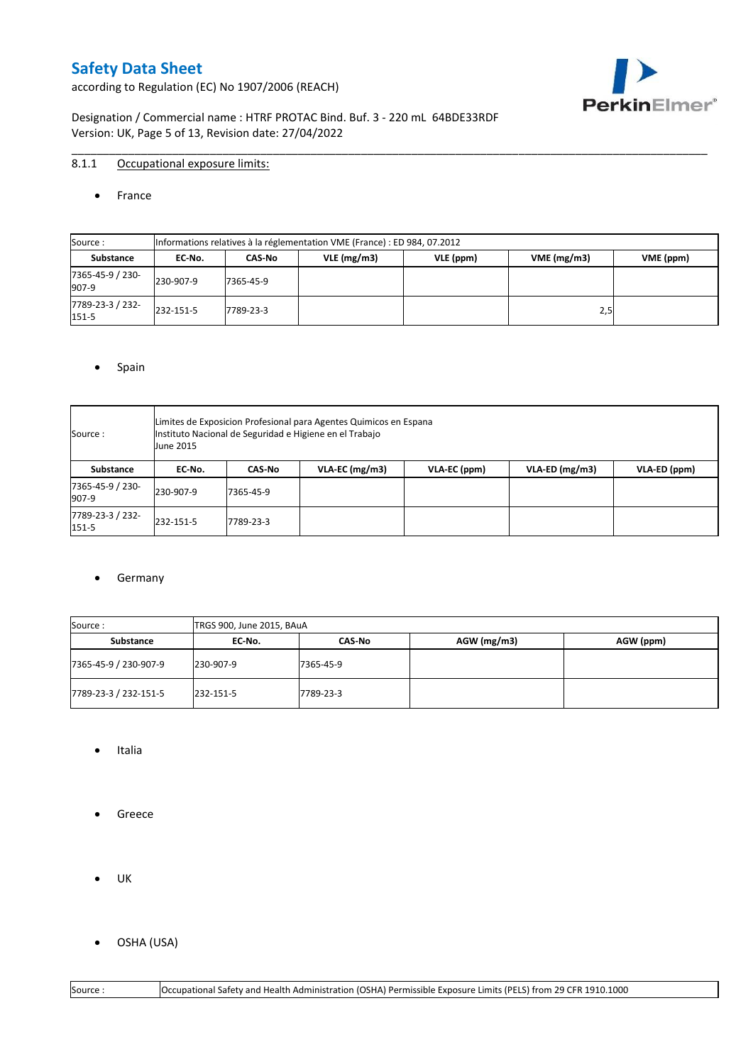according to Regulation (EC) No 1907/2006 (REACH)



Designation / Commercial name : HTRF PROTAC Bind. Buf. 3 - 220 mL 64BDE33RDF Version: UK, Page 5 of 13, Revision date: 27/04/2022

### 8.1.1 Occupational exposure limits:

#### • France

| Source:                   |           | Informations relatives à la réglementation VME (France) : ED 984, 07.2012 |               |           |            |           |  |  |  |  |  |  |  |
|---------------------------|-----------|---------------------------------------------------------------------------|---------------|-----------|------------|-----------|--|--|--|--|--|--|--|
| Substance                 | EC No.    | CAS-No                                                                    | $VLE$ (mg/m3) | VLE (ppm) | VME(mg/m3) | VME (ppm) |  |  |  |  |  |  |  |
| 7365-45-9 / 230-<br>907-9 | 230-907-9 | 7365-45-9                                                                 |               |           |            |           |  |  |  |  |  |  |  |
| 7789-23-3 / 232-<br>151-5 | 232-151-5 | 7789-23-3                                                                 |               |           | 2,5        |           |  |  |  |  |  |  |  |

\_\_\_\_\_\_\_\_\_\_\_\_\_\_\_\_\_\_\_\_\_\_\_\_\_\_\_\_\_\_\_\_\_\_\_\_\_\_\_\_\_\_\_\_\_\_\_\_\_\_\_\_\_\_\_\_\_\_\_\_\_\_\_\_\_\_\_\_\_\_\_\_\_\_\_\_\_\_\_\_\_\_\_\_\_\_\_\_\_\_\_\_\_\_\_\_\_\_\_\_\_

#### • Spain

| Source :                  | June 2015 | Limites de Exposicion Profesional para Agentes Quimicos en Espana<br>Instituto Nacional de Seguridad e Higiene en el Trabajo |                   |              |                  |              |  |  |  |  |  |  |  |
|---------------------------|-----------|------------------------------------------------------------------------------------------------------------------------------|-------------------|--------------|------------------|--------------|--|--|--|--|--|--|--|
| Substance                 | EC No.    | CAS No                                                                                                                       | $VLA$ -EC (mg/m3) | VLA-EC (ppm) | $VLA-ED$ (mg/m3) | VLA-ED (ppm) |  |  |  |  |  |  |  |
| 7365-45-9 / 230-<br>907-9 | 230-907-9 | 7365-45-9                                                                                                                    |                   |              |                  |              |  |  |  |  |  |  |  |
| 7789-23-3 / 232-<br>151-5 | 232-151-5 | 7789-23-3                                                                                                                    |                   |              |                  |              |  |  |  |  |  |  |  |

#### **•** Germany

| Source :              | TRGS 900, June 2015, BAuA |               |             |           |
|-----------------------|---------------------------|---------------|-------------|-----------|
| Substance             | EC No.                    | <b>CAS-No</b> | AGW (mg/m3) | AGW (ppm) |
| 7365-45-9 / 230-907-9 | 230-907-9                 | 7365-45-9     |             |           |
| 7789-23-3 / 232-151-5 | 232-151-5                 | 7789-23-3     |             |           |

- Italia
- **•** Greece
- UK
- OSHA (USA)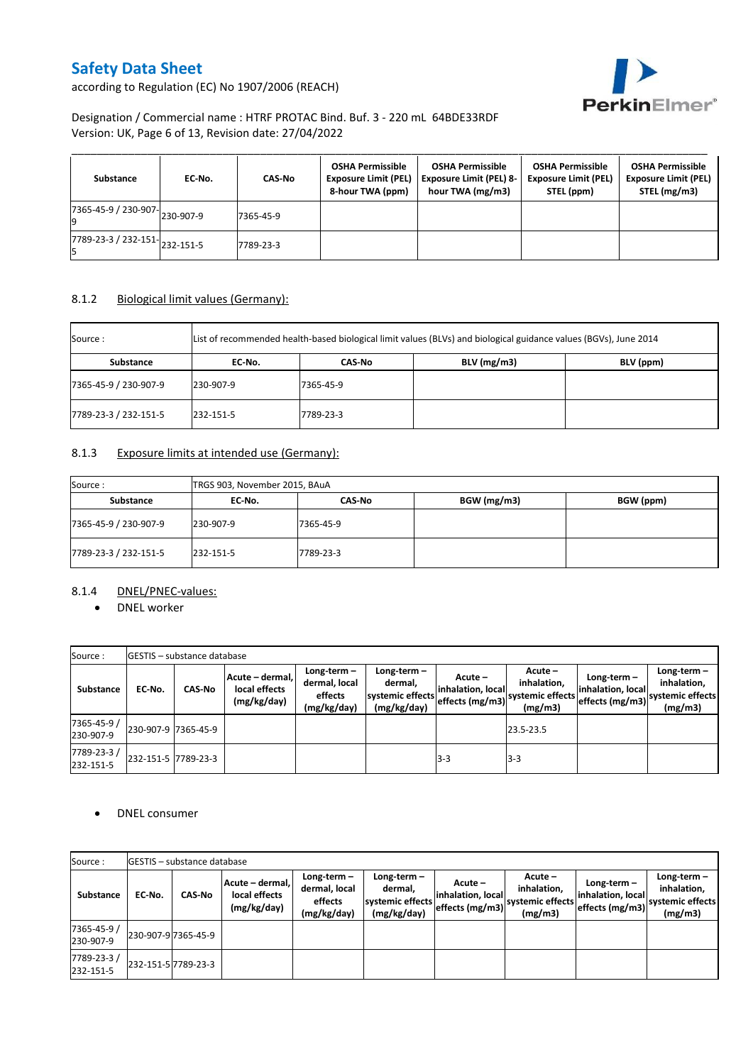

according to Regulation (EC) No 1907/2006 (REACH)

### Designation / Commercial name : HTRF PROTAC Bind. Buf. 3 - 220 mL 64BDE33RDF Version: UK, Page 6 of 13, Revision date: 27/04/2022

| Substance                                                      | EC No. | CAS No    | <b>OSHA Permissible</b><br><b>Exposure Limit (PEL)</b><br>8-hour TWA (ppm) | <b>OSHA Permissible</b><br><b>Exposure Limit (PEL) 8-</b><br>hour TWA (mg/m3) | <b>OSHA Permissible</b><br><b>Exposure Limit (PEL)</b><br>STEL (ppm) | <b>OSHA Permissible</b><br><b>Exposure Limit (PEL)</b><br>STEL (mg/m3) |
|----------------------------------------------------------------|--------|-----------|----------------------------------------------------------------------------|-------------------------------------------------------------------------------|----------------------------------------------------------------------|------------------------------------------------------------------------|
| 7365-45-9 / 230-907-230-907-9                                  |        | 7365-45-9 |                                                                            |                                                                               |                                                                      |                                                                        |
| $\overline{7789}$ -23-3 / 232-151- $\big  232 - 151 - 5 \big $ |        | 7789-23-3 |                                                                            |                                                                               |                                                                      |                                                                        |

### 8.1.2 Biological limit values (Germany):

| Source :              |           |           | List of recommended health-based biological limit values (BLVs) and biological guidance values (BGVs), June 2014 |           |
|-----------------------|-----------|-----------|------------------------------------------------------------------------------------------------------------------|-----------|
| Substance             | EC No.    | CAS No    | $BLV$ (mg/m3)                                                                                                    | BLV (ppm) |
| 7365-45-9 / 230-907-9 | 230-907-9 | 7365-45-9 |                                                                                                                  |           |
| 7789-23-3 / 232-151-5 | 232-151-5 | 7789-23-3 |                                                                                                                  |           |

### 8.1.3 Exposure limits at intended use (Germany):

| Source:               | TRGS 903, November 2015, BAuA |           |             |           |
|-----------------------|-------------------------------|-----------|-------------|-----------|
| Substance             | EC No.                        | CAS-No    | BGW (mg/m3) | BGW (ppm) |
| 7365-45-9 / 230-907-9 | 230-907-9                     | 7365-45-9 |             |           |
| 7789-23-3 / 232-151-5 | 232-151-5                     | 7789-23-3 |             |           |

### 8.1.4 DNEL/PNEC-values:

• DNEL worker

| Source:                  |                     | <b>GESTIS</b> - substance database                               |  |                                                          |                                                          |                                                 |                                                      |                                                       |                                                           |
|--------------------------|---------------------|------------------------------------------------------------------|--|----------------------------------------------------------|----------------------------------------------------------|-------------------------------------------------|------------------------------------------------------|-------------------------------------------------------|-----------------------------------------------------------|
| Substance                | EC-No.              | Acute - dermal,<br>local effects<br><b>CAS-No</b><br>(mg/kg/day) |  | $Long-term -$<br>dermal, local<br>effects<br>(mg/kg/day) | Long-term-<br>dermal,<br>systemic effects<br>(mg/kg/day) | Acute -<br>inhalation, local<br>effects (mg/m3) | Acute-<br>inhalation,<br>systemic effects<br>(mg/m3) | Long-term $-$<br>inhalation, local<br>effects (mg/m3) | Long-term -<br>inhalation,<br>systemic effects<br>(mg/m3) |
| 7365-45-9 /<br>230-907-9 | 230-907-9 7365-45-9 |                                                                  |  |                                                          |                                                          |                                                 | 23.5-23.5                                            |                                                       |                                                           |
| 7789-23-3/<br>232-151-5  | 232-151-5 7789-23-3 |                                                                  |  |                                                          |                                                          | $3-3$                                           | $3-3$                                                |                                                       |                                                           |

#### DNEL consumer

| Source:                  |                     | <b>IGESTIS – substance database</b> |                                                   |                                                          |                                                          |                                                                     |                                     |                                                     |                                                             |
|--------------------------|---------------------|-------------------------------------|---------------------------------------------------|----------------------------------------------------------|----------------------------------------------------------|---------------------------------------------------------------------|-------------------------------------|-----------------------------------------------------|-------------------------------------------------------------|
| Substance                | EC-No.              | <b>CAS-No</b>                       | Acute – dermal, l<br>local effects<br>(mg/kg/day) | $Long-term -$<br>dermal, local<br>effects<br>(mg/kg/day) | Long-term-<br>dermal.<br>systemic effects<br>(mg/kg/day) | $Acute -$<br>inhalation, local<br>Teffects (mg/m3) systemic effects | $Acute -$<br>inhalation.<br>(mg/m3) | Long term -<br>inhalation. local<br>effects (mg/m3) | Long-term $-$<br>inhalation,<br>systemic effects<br>(mg/m3) |
| 7365-45-9 /<br>230-907-9 | 230-907-9 7365-45-9 |                                     |                                                   |                                                          |                                                          |                                                                     |                                     |                                                     |                                                             |
| 7789-23-3/<br>232-151-5  | 232-151-5 7789-23-3 |                                     |                                                   |                                                          |                                                          |                                                                     |                                     |                                                     |                                                             |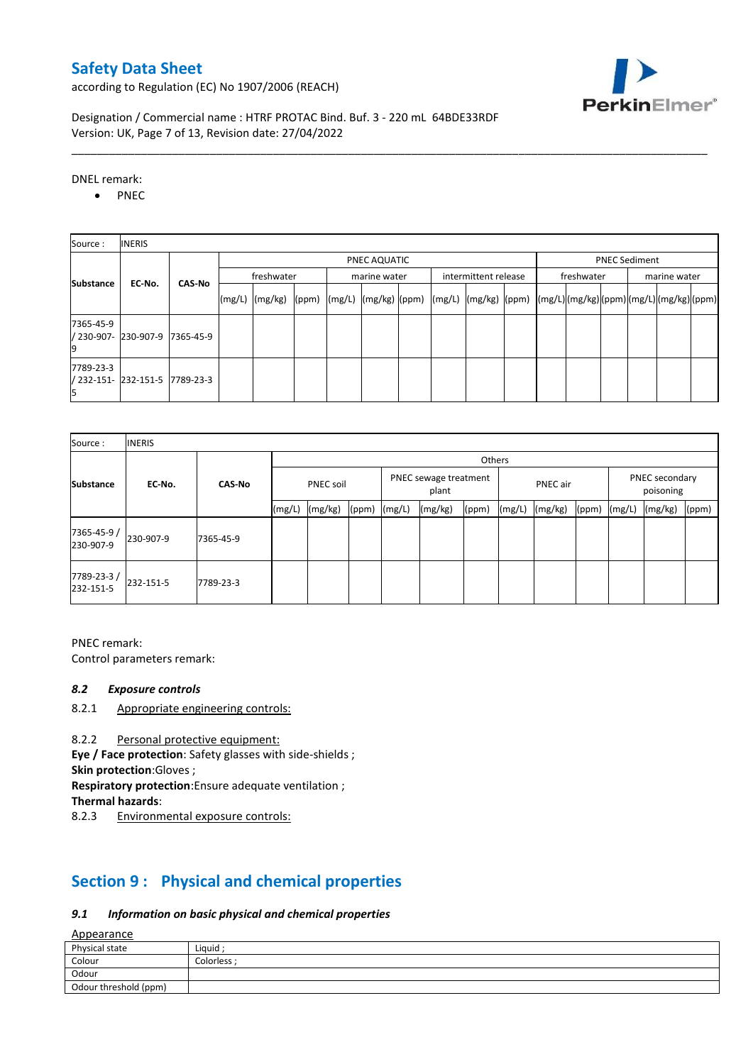according to Regulation (EC) No 1907/2006 (REACH)



Designation / Commercial name : HTRF PROTAC Bind. Buf. 3 - 220 mL 64BDE33RDF Version: UK, Page 7 of 13, Revision date: 27/04/2022

DNEL remark:

• PNEC

| Source:   | <b>INERIS</b>                  |               |                                      |                 |  |  |              |  |  |                                                                                                                                                                                                                                      |  |  |            |  |  |              |  |  |
|-----------|--------------------------------|---------------|--------------------------------------|-----------------|--|--|--------------|--|--|--------------------------------------------------------------------------------------------------------------------------------------------------------------------------------------------------------------------------------------|--|--|------------|--|--|--------------|--|--|
|           |                                |               | <b>PNEC Sediment</b><br>PNEC AQUATIC |                 |  |  |              |  |  |                                                                                                                                                                                                                                      |  |  |            |  |  |              |  |  |
| Substance | EC-No.                         | <b>CAS-No</b> |                                      | freshwater      |  |  | marine water |  |  | intermittent release                                                                                                                                                                                                                 |  |  | freshwater |  |  | marine water |  |  |
|           |                                |               | (mg/L)                               | $(mg/kg)$ (ppm) |  |  |              |  |  | $\left  \frac{m g}{L} \right  \frac{m g}{k g}$ $\left  \frac{m g}{L} \right  \frac{m g}{L}$ $\left  \frac{m g}{k g} \right  \frac{m g}{L}$ $\left  \frac{m g}{L} \right  \frac{m g}{L}$ $\left  \frac{m g}{L} \right  \frac{m g}{L}$ |  |  |            |  |  |              |  |  |
| 7365-45-9 | / 230-907- 230-907-9           | 7365-45-9     |                                      |                 |  |  |              |  |  |                                                                                                                                                                                                                                      |  |  |            |  |  |              |  |  |
| 7789-23-3 | / 232-151- 232-151-5 7789-23-3 |               |                                      |                 |  |  |              |  |  |                                                                                                                                                                                                                                      |  |  |            |  |  |              |  |  |

\_\_\_\_\_\_\_\_\_\_\_\_\_\_\_\_\_\_\_\_\_\_\_\_\_\_\_\_\_\_\_\_\_\_\_\_\_\_\_\_\_\_\_\_\_\_\_\_\_\_\_\_\_\_\_\_\_\_\_\_\_\_\_\_\_\_\_\_\_\_\_\_\_\_\_\_\_\_\_\_\_\_\_\_\_\_\_\_\_\_\_\_\_\_\_\_\_\_\_\_\_

| Source:                  | <b>INERIS</b> |               |                  |         |       |        |                                |       |        |          |       |        |                                        |       |
|--------------------------|---------------|---------------|------------------|---------|-------|--------|--------------------------------|-------|--------|----------|-------|--------|----------------------------------------|-------|
|                          |               |               | Others           |         |       |        |                                |       |        |          |       |        |                                        |       |
| <b>Substance</b>         | EC-No.        | <b>CAS-No</b> | <b>PNEC soil</b> |         |       |        | PNEC sewage treatment<br>plant |       |        | PNEC air |       |        | PNEC secondary<br>poisoning<br>(mg/kg) |       |
|                          |               |               | (mg/L)           | (mg/kg) | (ppm) | (mg/L) | (mg/kg)                        | (ppm) | (mg/L) | (mg/kg)  | (ppm) | (mg/L) |                                        | (ppm) |
| 7365-45-9 /<br>230-907-9 | 230-907-9     | 7365-45-9     |                  |         |       |        |                                |       |        |          |       |        |                                        |       |
| 7789-23-3/<br>232-151-5  | 232-151-5     | 7789-23-3     |                  |         |       |        |                                |       |        |          |       |        |                                        |       |

PNEC remark: Control parameters remark:

#### *8.2 Exposure controls*

8.2.1 Appropriate engineering controls:

8.2.2 Personal protective equipment:

**Eye / Face protection**: Safety glasses with side-shields ;

**Skin protection**:Gloves ;

**Respiratory protection**:Ensure adequate ventilation ;

**Thermal hazards**:

8.2.3 Environmental exposure controls:

# **Section 9 : Physical and chemical properties**

### *9.1 Information on basic physical and chemical properties*

Appearance

| Physical state        | Liquid    |
|-----------------------|-----------|
| Colour                | Colorless |
| Odour                 |           |
| Odour threshold (ppm) |           |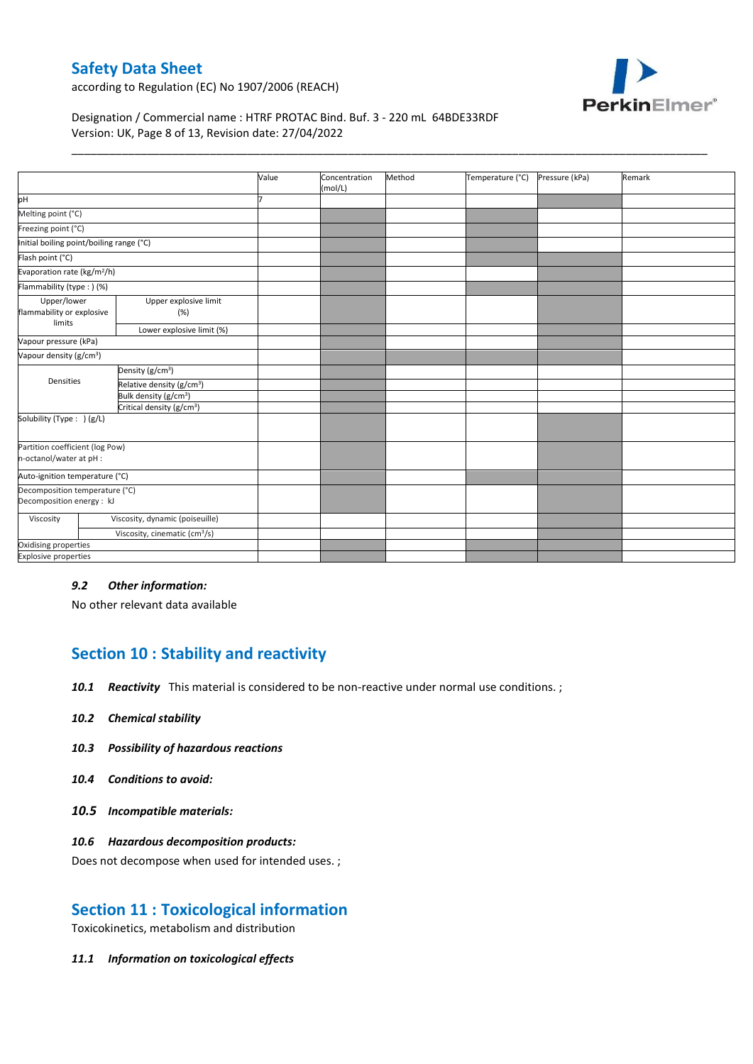

according to Regulation (EC) No 1907/2006 (REACH)

Designation / Commercial name : HTRF PROTAC Bind. Buf. 3 - 220 mL 64BDE33RDF Version: UK, Page 8 of 13, Revision date: 27/04/2022

|                                                             |                                           | Value | Concentration<br>(mol/L) | Method | Temperature (°C) | Pressure (kPa) | Remark |
|-------------------------------------------------------------|-------------------------------------------|-------|--------------------------|--------|------------------|----------------|--------|
| pH                                                          |                                           |       |                          |        |                  |                |        |
| Melting point (°C)                                          |                                           |       |                          |        |                  |                |        |
| Freezing point (°C)                                         |                                           |       |                          |        |                  |                |        |
| Initial boiling point/boiling range (°C)                    |                                           |       |                          |        |                  |                |        |
| Flash point (°C)                                            |                                           |       |                          |        |                  |                |        |
| Evaporation rate (kg/m <sup>2</sup> /h)                     |                                           |       |                          |        |                  |                |        |
| Flammability (type:) (%)                                    |                                           |       |                          |        |                  |                |        |
| Upper/lower<br>flammability or explosive<br>limits          | Upper explosive limit<br>(%)              |       |                          |        |                  |                |        |
|                                                             | Lower explosive limit (%)                 |       |                          |        |                  |                |        |
| Vapour pressure (kPa)                                       |                                           |       |                          |        |                  |                |        |
| Vapour density (g/cm <sup>3</sup> )                         |                                           |       |                          |        |                  |                |        |
|                                                             | Density (g/cm <sup>3</sup> )              |       |                          |        |                  |                |        |
| Densities                                                   | Relative density (g/cm <sup>3</sup> )     |       |                          |        |                  |                |        |
|                                                             | Bulk density (g/cm <sup>3</sup> )         |       |                          |        |                  |                |        |
|                                                             | Critical density (g/cm <sup>3</sup> )     |       |                          |        |                  |                |        |
| Solubility (Type: ) (g/L)                                   |                                           |       |                          |        |                  |                |        |
| Partition coefficient (log Pow)<br>n-octanol/water at pH :  |                                           |       |                          |        |                  |                |        |
| Auto-ignition temperature (°C)                              |                                           |       |                          |        |                  |                |        |
| Decomposition temperature (°C)<br>Decomposition energy : kJ |                                           |       |                          |        |                  |                |        |
| Viscosity                                                   | Viscosity, dynamic (poiseuille)           |       |                          |        |                  |                |        |
|                                                             | Viscosity, cinematic (cm <sup>3</sup> /s) |       |                          |        |                  |                |        |
| Oxidising properties                                        |                                           |       |                          |        |                  |                |        |
| <b>Explosive properties</b>                                 |                                           |       |                          |        |                  |                |        |

\_\_\_\_\_\_\_\_\_\_\_\_\_\_\_\_\_\_\_\_\_\_\_\_\_\_\_\_\_\_\_\_\_\_\_\_\_\_\_\_\_\_\_\_\_\_\_\_\_\_\_\_\_\_\_\_\_\_\_\_\_\_\_\_\_\_\_\_\_\_\_\_\_\_\_\_\_\_\_\_\_\_\_\_\_\_\_\_\_\_\_\_\_\_\_\_\_\_\_\_\_

#### *9.2 Other information:*

No other relevant data available

# **Section 10 : Stability and reactivity**

*10.1 Reactivity* This material is considered to be non-reactive under normal use conditions. ;

- *10.2 Chemical stability*
- *10.3 Possibility of hazardous reactions*
- *10.4 Conditions to avoid:*
- *10.5 Incompatible materials:*

#### *10.6 Hazardous decomposition products:*

Does not decompose when used for intended uses. ;

### **Section 11 : Toxicological information**

Toxicokinetics, metabolism and distribution

*11.1 Information on toxicological effects*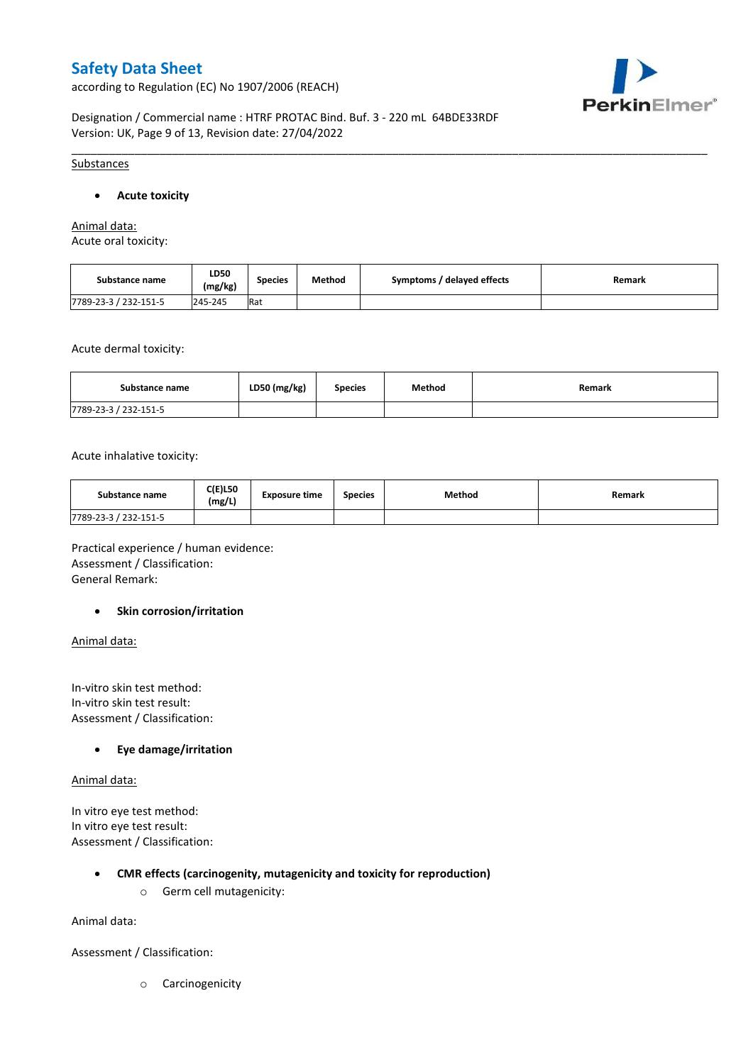according to Regulation (EC) No 1907/2006 (REACH)



Designation / Commercial name : HTRF PROTAC Bind. Buf. 3 - 220 mL 64BDE33RDF Version: UK, Page 9 of 13, Revision date: 27/04/2022

#### Substances

#### **Acute toxicity**

Animal data: Acute oral toxicity:

| Substance name        | <b>LD50</b><br>(mg/kg) | <b>Species</b> | Method | Symptoms / delayed effects | Remark |
|-----------------------|------------------------|----------------|--------|----------------------------|--------|
| 7789-23-3 / 232-151-5 | 245-245                | Rat            |        |                            |        |

\_\_\_\_\_\_\_\_\_\_\_\_\_\_\_\_\_\_\_\_\_\_\_\_\_\_\_\_\_\_\_\_\_\_\_\_\_\_\_\_\_\_\_\_\_\_\_\_\_\_\_\_\_\_\_\_\_\_\_\_\_\_\_\_\_\_\_\_\_\_\_\_\_\_\_\_\_\_\_\_\_\_\_\_\_\_\_\_\_\_\_\_\_\_\_\_\_\_\_\_\_

Acute dermal toxicity:

| Substance name        | LD50 (mg/kg) | <b>Species</b> | Method | Remark |
|-----------------------|--------------|----------------|--------|--------|
| 7789-23-3 / 232-151-5 |              |                |        |        |

Acute inhalative toxicity:

| Substance name        | <b>C(E)L50</b><br>(mg/L) | <b>Exposure time</b> | <b>Species</b> | Method | Remark |
|-----------------------|--------------------------|----------------------|----------------|--------|--------|
| 7789-23-3 / 232-151-5 |                          |                      |                |        |        |

Practical experience / human evidence: Assessment / Classification: General Remark:

#### **•** Skin corrosion/irritation

Animal data:

In-vitro skin test method: In-vitro skin test result: Assessment / Classification:

#### **Eye damage/irritation**

Animal data:

In vitro eye test method: In vitro eye test result: Assessment / Classification:

#### **CMR effects (carcinogenity, mutagenicity and toxicity for reproduction)**

o Germ cell mutagenicity:

Animal data:

Assessment / Classification:

o Carcinogenicity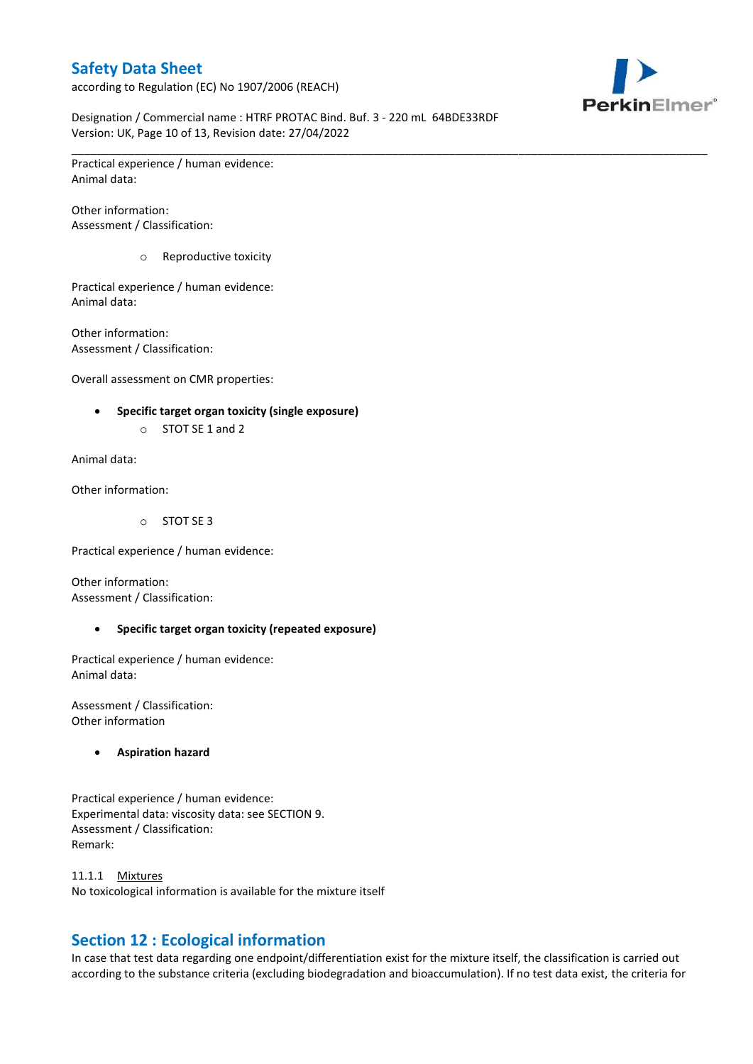according to Regulation (EC) No 1907/2006 (REACH)



Designation / Commercial name : HTRF PROTAC Bind. Buf. 3 - 220 mL 64BDE33RDF Version: UK, Page 10 of 13, Revision date: 27/04/2022

\_\_\_\_\_\_\_\_\_\_\_\_\_\_\_\_\_\_\_\_\_\_\_\_\_\_\_\_\_\_\_\_\_\_\_\_\_\_\_\_\_\_\_\_\_\_\_\_\_\_\_\_\_\_\_\_\_\_\_\_\_\_\_\_\_\_\_\_\_\_\_\_\_\_\_\_\_\_\_\_\_\_\_\_\_\_\_\_\_\_\_\_\_\_\_\_\_\_\_\_\_

Practical experience / human evidence: Animal data:

Other information: Assessment / Classification:

o Reproductive toxicity

Practical experience / human evidence: Animal data:

Other information: Assessment / Classification:

Overall assessment on CMR properties:

- **Specific target organ toxicity (single exposure)**
	- o STOT SE 1 and 2

Animal data:

Other information:

o STOT SE 3

Practical experience / human evidence:

Other information: Assessment / Classification:

#### **Specific target organ toxicity (repeated exposure)**

Practical experience / human evidence: Animal data:

Assessment / Classification: Other information

**Aspiration hazard**

Practical experience / human evidence: Experimental data: viscosity data: see SECTION 9. Assessment / Classification: Remark:

11.1.1 Mixtures No toxicological information is available for the mixture itself

# **Section 12 : Ecological information**

In case that test data regarding one endpoint/differentiation exist for the mixture itself, the classification is carried out according to the substance criteria (excluding biodegradation and bioaccumulation). If no test data exist, the criteria for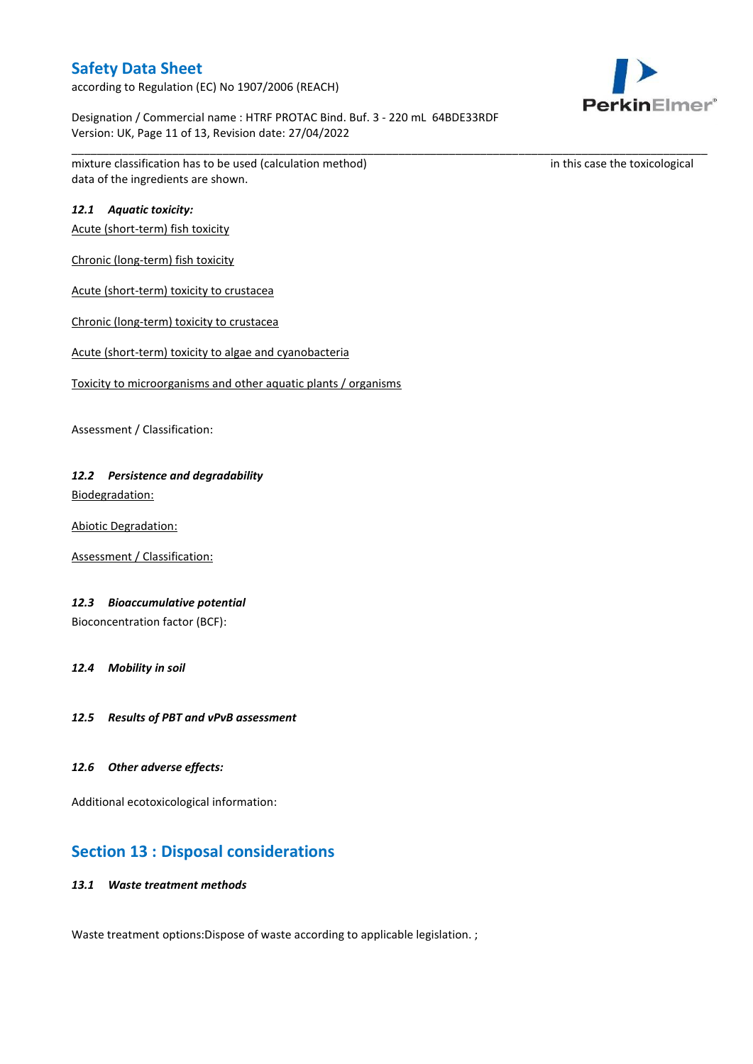according to Regulation (EC) No 1907/2006 (REACH)

Designation / Commercial name : HTRF PROTAC Bind. Buf. 3 - 220 mL 64BDE33RDF Version: UK, Page 11 of 13, Revision date: 27/04/2022

\_\_\_\_\_\_\_\_\_\_\_\_\_\_\_\_\_\_\_\_\_\_\_\_\_\_\_\_\_\_\_\_\_\_\_\_\_\_\_\_\_\_\_\_\_\_\_\_\_\_\_\_\_\_\_\_\_\_\_\_\_\_\_\_\_\_\_\_\_\_\_\_\_\_\_\_\_\_\_\_\_\_\_\_\_\_\_\_\_\_\_\_\_\_\_\_\_\_\_\_\_

mixture classification has to be used (calculation method) in this case the toxicological data of the ingredients are shown.

### *12.1 Aquatic toxicity:*

Acute (short-term) fish toxicity

Chronic (long-term) fish toxicity

Acute (short-term) toxicity to crustacea

Chronic (long-term) toxicity to crustacea

Acute (short-term) toxicity to algae and cyanobacteria

Toxicity to microorganisms and other aquatic plants / organisms

Assessment / Classification:

# *12.2 Persistence and degradability*

Biodegradation:

Abiotic Degradation:

Assessment / Classification:

### *12.3 Bioaccumulative potential*

Bioconcentration factor (BCF):

*12.4 Mobility in soil*

*12.5 Results of PBT and vPvB assessment*

#### *12.6 Other adverse effects:*

Additional ecotoxicological information:

### **Section 13 : Disposal considerations**

### *13.1 Waste treatment methods*

Waste treatment options: Dispose of waste according to applicable legislation. ;

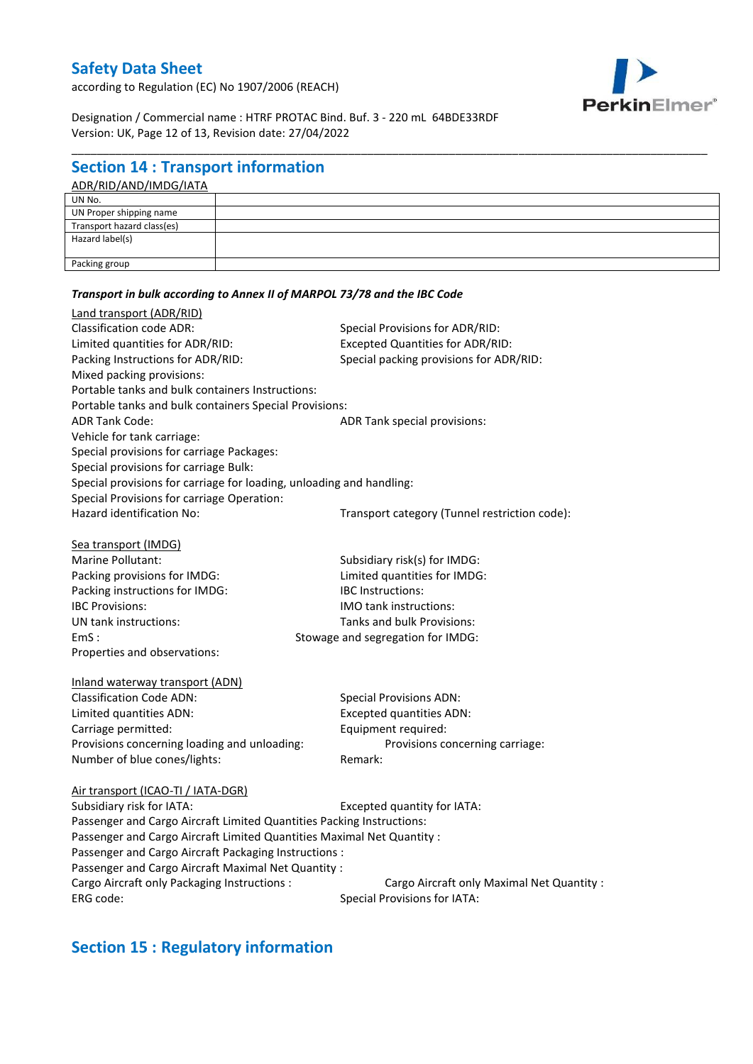according to Regulation (EC) No 1907/2006 (REACH)



Designation / Commercial name : HTRF PROTAC Bind. Buf. 3 - 220 mL 64BDE33RDF Version: UK, Page 12 of 13, Revision date: 27/04/2022

*Transport in bulk according to Annex II of MARPOL 73/78 and the IBC Code*

## **Section 14 : Transport information**

#### ADR/RID/AND/IMDG/IATA

\_\_\_\_\_\_\_\_\_\_\_\_\_\_\_\_\_\_\_\_\_\_\_\_\_\_\_\_\_\_\_\_\_\_\_\_\_\_\_\_\_\_\_\_\_\_\_\_\_\_\_\_\_\_\_\_\_\_\_\_\_\_\_\_\_\_\_\_\_\_\_\_\_\_\_\_\_\_\_\_\_\_\_\_\_\_\_\_\_\_\_\_\_\_\_\_\_\_\_\_\_

### Land transport (ADR/RID) Classification code ADR: Special Provisions for ADR/RID: Limited quantities for ADR/RID: Excepted Quantities for ADR/RID: Packing Instructions for ADR/RID: Special packing provisions for ADR/RID: Mixed packing provisions: Portable tanks and bulk containers Instructions: Portable tanks and bulk containers Special Provisions: ADR Tank Code: ADR Tank special provisions: Vehicle for tank carriage: Special provisions for carriage Packages: Special provisions for carriage Bulk: Special provisions for carriage for loading, unloading and handling: Special Provisions for carriage Operation: Hazard identification No: Transport category (Tunnel restriction code):

| Sea transport (IMDG)           |                                   |
|--------------------------------|-----------------------------------|
| Marine Pollutant:              | Subsidiary risk(s) for IMDG:      |
| Packing provisions for IMDG:   | Limited quantities for IMDG:      |
| Packing instructions for IMDG: | <b>IBC</b> Instructions:          |
| <b>IBC Provisions:</b>         | <b>IMO tank instructions:</b>     |
| UN tank instructions:          | Tanks and bulk Provisions:        |
| EmS:                           | Stowage and segregation for IMDG: |
| Properties and observations:   |                                   |

| iliidiiu watelway trafisport (ADN).          |                                 |
|----------------------------------------------|---------------------------------|
| <b>Classification Code ADN:</b>              | <b>Special Provisions ADN:</b>  |
| Limited quantities ADN:                      | <b>Excepted quantities ADN:</b> |
| Carriage permitted:                          | Equipment required:             |
| Provisions concerning loading and unloading: | Provisions concerning carriage: |
| Number of blue cones/lights:                 | Remark:                         |
|                                              |                                 |

### Air transport (ICAO-TI / IATA-DGR) Subsidiary risk for IATA: Excepted quantity for IATA: Passenger and Cargo Aircraft Limited Quantities Packing Instructions: Passenger and Cargo Aircraft Limited Quantities Maximal Net Quantity : Passenger and Cargo Aircraft Packaging Instructions : Passenger and Cargo Aircraft Maximal Net Quantity : Cargo Aircraft only Packaging Instructions : Cargo Aircraft only Maximal Net Quantity : ERG code: Special Provisions for IATA:

# **Section 15 : Regulatory information**

Inland waterway transport (ADN)